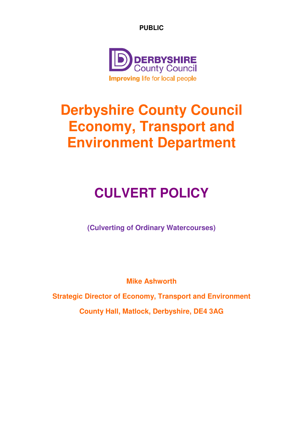**PUBLIC** 



# **Derbyshire County Council Economy, Transport and Environment Department**

# **CULVERT POLICY**

**(Culverting of Ordinary Watercourses)**

**Mike Ashworth** 

**Strategic Director of Economy, Transport and Environment**

**County Hall, Matlock, Derbyshire, DE4 3AG**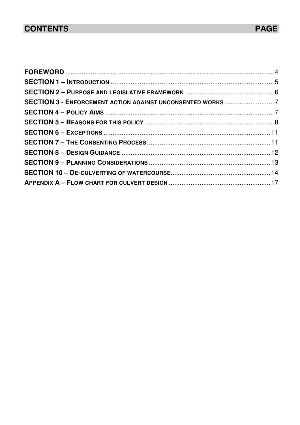# **CONTENTS**

| SECTION 3 - ENFORCEMENT ACTION AGAINST UNCONSENTED WORKS 7 |  |
|------------------------------------------------------------|--|
|                                                            |  |
|                                                            |  |
|                                                            |  |
|                                                            |  |
|                                                            |  |
|                                                            |  |
|                                                            |  |
|                                                            |  |
|                                                            |  |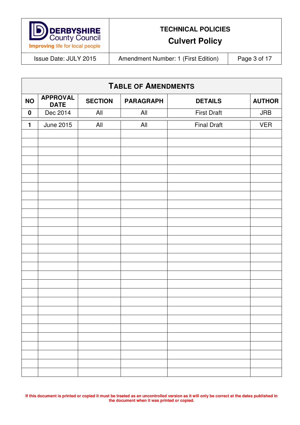

**Culvert Policy** 

Issue Date: JULY 2015 | Amendment Number: 1 (First Edition) | Page 3 of 17

| <b>TABLE OF AMENDMENTS</b> |                                |                |                  |                    |               |  |
|----------------------------|--------------------------------|----------------|------------------|--------------------|---------------|--|
| <b>NO</b>                  | <b>APPROVAL</b><br><b>DATE</b> | <b>SECTION</b> | <b>PARAGRAPH</b> | <b>DETAILS</b>     | <b>AUTHOR</b> |  |
| $\boldsymbol{0}$           | Dec 2014                       | All            | All              | <b>First Draft</b> | <b>JRB</b>    |  |
| $\mathbf{1}$               | <b>June 2015</b>               | All            | All              | <b>Final Draft</b> | <b>VER</b>    |  |
|                            |                                |                |                  |                    |               |  |
|                            |                                |                |                  |                    |               |  |
|                            |                                |                |                  |                    |               |  |
|                            |                                |                |                  |                    |               |  |
|                            |                                |                |                  |                    |               |  |
|                            |                                |                |                  |                    |               |  |
|                            |                                |                |                  |                    |               |  |
|                            |                                |                |                  |                    |               |  |
|                            |                                |                |                  |                    |               |  |
|                            |                                |                |                  |                    |               |  |
|                            |                                |                |                  |                    |               |  |
|                            |                                |                |                  |                    |               |  |
|                            |                                |                |                  |                    |               |  |
|                            |                                |                |                  |                    |               |  |
|                            |                                |                |                  |                    |               |  |
|                            |                                |                |                  |                    |               |  |
|                            |                                |                |                  |                    |               |  |
|                            |                                |                |                  |                    |               |  |
|                            |                                |                |                  |                    |               |  |
|                            |                                |                |                  |                    |               |  |
|                            |                                |                |                  |                    |               |  |
|                            |                                |                |                  |                    |               |  |
|                            |                                |                |                  |                    |               |  |
|                            |                                |                |                  |                    |               |  |
|                            |                                |                |                  |                    |               |  |
|                            |                                |                |                  |                    |               |  |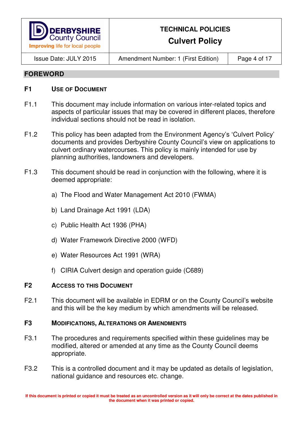

## **Culvert Policy**

Issue Date: JULY 2015 Amendment Number: 1 (First Edition) Page 4 of 17

#### **FOREWORD**

#### **F1** USE OF DOCUMENT

- F1.1 This document may include information on various inter-related topics and aspects of particular issues that may be covered in different places, therefore individual sections should not be read in isolation.
- F1.2 This policy has been adapted from the Environment Agency's 'Culvert Policy' documents and provides Derbyshire County Council's view on applications to culvert ordinary watercourses. This policy is mainly intended for use by planning authorities, landowners and developers.
- F1.3 This document should be read in conjunction with the following, where it is deemed appropriate:
	- a) The Flood and Water Management Act 2010 (FWMA)
	- b) Land Drainage Act 1991 (LDA)
	- c) Public Health Act 1936 (PHA)
	- d) Water Framework Directive 2000 (WFD)
	- e) Water Resources Act 1991 (WRA)
	- f) CIRIA Culvert design and operation guide (C689)

#### **F2 ACCESS TO THIS DOCUMENT**

F2.1 This document will be available in EDRM or on the County Council's website and this will be the key medium by which amendments will be released.

#### **F3 MODIFICATIONS, ALTERATIONS OR AMENDMENTS**

- F3.1 The procedures and requirements specified within these guidelines may be modified, altered or amended at any time as the County Council deems appropriate.
- F3.2 This is a controlled document and it may be updated as details of legislation. national guidance and resources etc. change.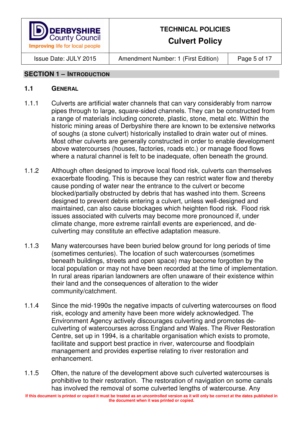

**Culvert Policy** 

Issue Date: JULY 2015 Amendment Number: 1 (First Edition) Page 5 of 17

#### **SECTION 1 – INTRODUCTION**

- 1.1.1 Culverts are artificial water channels that can vary considerably from narrow pipes through to large, square-sided channels. They can be constructed from a range of materials including concrete, plastic, stone, metal etc. Within the historic mining areas of Derbyshire there are known to be extensive networks of soughs (a stone culvert) historically installed to drain water out of mines. Most other culverts are generally constructed in order to enable development above watercourses (houses, factories, roads etc.) or manage flood flows where a natural channel is felt to be inadequate, often beneath the ground.
- 1.1.2 Although often designed to improve local flood risk, culverts can themselves exacerbate flooding. This is because they can restrict water flow and thereby cause ponding of water near the entrance to the culvert or become blocked/partially obstructed by debris that has washed into them. Screens designed to prevent debris entering a culvert, unless well-designed and maintained, can also cause blockages which heighten flood risk. Flood risk issues associated with culverts may become more pronounced if, under climate change, more extreme rainfall events are experienced, and deculverting may constitute an effective adaptation measure.
- 1.1.3 Many watercourses have been buried below ground for long periods of time (sometimes centuries). The location of such watercourses (sometimes beneath buildings, streets and open space) may become forgotten by the local population or may not have been recorded at the time of implementation. In rural areas riparian landowners are often unaware of their existence within their land and the consequences of alteration to the wider community/catchment.
- 1.1.4 Since the mid-1990s the negative impacts of culverting watercourses on flood risk, ecology and amenity have been more widely acknowledged. The Environment Agency actively discourages culverting and promotes deculverting of watercourses across England and Wales. The River Restoration Centre, set up in 1994, is a charitable organisation which exists to promote, facilitate and support best practice in river, watercourse and floodplain management and provides expertise relating to river restoration and enhancement.
- 1.1.5 Often, the nature of the development above such culverted watercourses is prohibitive to their restoration. The restoration of navigation on some canals has involved the removal of some culverted lengths of watercourse. Any

**If this document is printed or copied it must be treated as an uncontrolled version as it will only be correct at the dates published in the document when it was printed or copied.**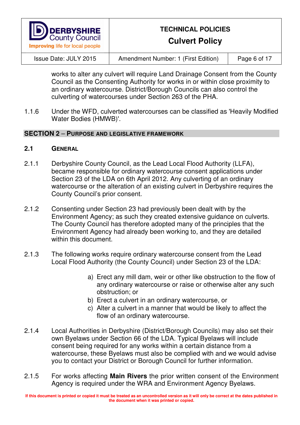

**Culvert Policy** 

Issue Date: JULY 2015 Amendment Number: 1 (First Edition) Page 6 of 17

works to alter any culvert will require Land Drainage Consent from the County Council as the Consenting Authority for works in or within close proximity to an ordinary watercourse. District/Borough Councils can also control the culverting of watercourses under Section 263 of the PHA.

1.1.6 Under the WFD, culverted watercourses can be classified as 'Heavily Modified Water Bodies (HMWB)'.

#### **SECTION 2** – **PURPOSE AND LEGISLATIVE FRAMEWORK**

#### **2.1 GENERAL**

- 2.1.1 Derbyshire County Council, as the Lead Local Flood Authority (LLFA), became responsible for ordinary watercourse consent applications under Section 23 of the LDA on 6th April 2012. Any culverting of an ordinary watercourse or the alteration of an existing culvert in Derbyshire requires the County Council's prior consent.
- 2.1.2 Consenting under Section 23 had previously been dealt with by the Environment Agency; as such they created extensive guidance on culverts. The County Council has therefore adopted many of the principles that the Environment Agency had already been working to, and they are detailed within this document.
- 2.1.3 The following works require ordinary watercourse consent from the Lead Local Flood Authority (the County Council) under Section 23 of the LDA:
	- a) Erect any mill dam, weir or other like obstruction to the flow of any ordinary watercourse or raise or otherwise alter any such obstruction; or
	- b) Erect a culvert in an ordinary watercourse, or
	- c) Alter a culvert in a manner that would be likely to affect the flow of an ordinary watercourse.
- 2.1.4 Local Authorities in Derbyshire (District/Borough Councils) may also set their own Byelaws under Section 66 of the LDA. Typical Byelaws will include consent being required for any works within a certain distance from a watercourse, these Byelaws must also be complied with and we would advise you to contact your District or Borough Council for further information.
- 2.1.5 For works affecting **Main Rivers** the prior written consent of the Environment Agency is required under the WRA and Environment Agency Byelaws.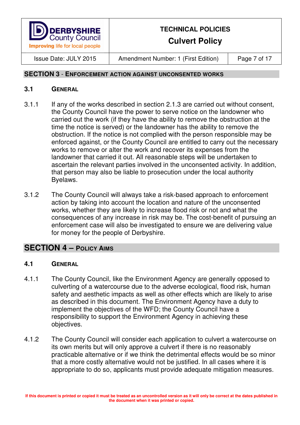

## **Culvert Policy**

Issue Date: JULY 2015 Amendment Number: 1 (First Edition) Page 7 of 17

#### **SECTION 3** - **ENFORCEMENT ACTION AGAINST UNCONSENTED WORKS**

#### **3.1 GENERAL**

- 3.1.1 If any of the works described in section 2.1.3 are carried out without consent, the County Council have the power to serve notice on the landowner who carried out the work (if they have the ability to remove the obstruction at the time the notice is served) or the landowner has the ability to remove the obstruction. If the notice is not complied with the person responsible may be enforced against, or the County Council are entitled to carry out the necessary works to remove or alter the work and recover its expenses from the landowner that carried it out. All reasonable steps will be undertaken to ascertain the relevant parties involved in the unconsented activity. In addition, that person may also be liable to prosecution under the local authority Byelaws.
- 3.1.2 The County Council will always take a risk-based approach to enforcement action by taking into account the location and nature of the unconsented works, whether they are likely to increase flood risk or not and what the consequences of any increase in risk may be. The cost-benefit of pursuing an enforcement case will also be investigated to ensure we are delivering value for money for the people of Derbyshire.

## **SECTION 4 – POLICY AIMS**

- 4.1.1 The County Council, like the Environment Agency are generally opposed to culverting of a watercourse due to the adverse ecological, flood risk, human safety and aesthetic impacts as well as other effects which are likely to arise as described in this document. The Environment Agency have a duty to implement the objectives of the WFD; the County Council have a responsibility to support the Environment Agency in achieving these objectives.
- 4.1.2 The County Council will consider each application to culvert a watercourse on its own merits but will only approve a culvert if there is no reasonably practicable alternative or if we think the detrimental effects would be so minor that a more costly alternative would not be justified. In all cases where it is appropriate to do so, applicants must provide adequate mitigation measures.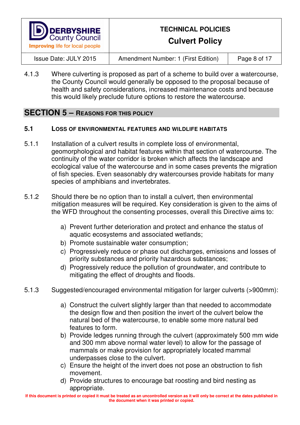

**Culvert Policy** 

Issue Date: JULY 2015 Amendment Number: 1 (First Edition) Page 8 of 17

4.1.3 Where culverting is proposed as part of a scheme to build over a watercourse, the County Council would generally be opposed to the proposal because of health and safety considerations, increased maintenance costs and because this would likely preclude future options to restore the watercourse.

### **SECTION 5 – REASONS FOR THIS POLICY**

#### **5.1 LOSS OF ENVIRONMENTAL FEATURES AND WILDLIFE HABITATS**

- 5.1.1 Installation of a culvert results in complete loss of environmental, geomorphological and habitat features within that section of watercourse. The continuity of the water corridor is broken which affects the landscape and ecological value of the watercourse and in some cases prevents the migration of fish species. Even seasonably dry watercourses provide habitats for many species of amphibians and invertebrates.
- 5.1.2 Should there be no option than to install a culvert, then environmental mitigation measures will be required. Key consideration is given to the aims of the WFD throughout the consenting processes, overall this Directive aims to:
	- a) Prevent further deterioration and protect and enhance the status of aquatic ecosystems and associated wetlands;
	- b) Promote sustainable water consumption;
	- c) Progressively reduce or phase out discharges, emissions and losses of priority substances and priority hazardous substances;
	- d) Progressively reduce the pollution of groundwater, and contribute to mitigating the effect of droughts and floods.
- 5.1.3 Suggested/encouraged environmental mitigation for larger culverts (>900mm):
	- a) Construct the culvert slightly larger than that needed to accommodate the design flow and then position the invert of the culvert below the natural bed of the watercourse, to enable some more natural bed features to form.
	- b) Provide ledges running through the culvert (approximately 500 mm wide and 300 mm above normal water level) to allow for the passage of mammals or make provision for appropriately located mammal underpasses close to the culvert.
	- c) Ensure the height of the invert does not pose an obstruction to fish movement.
	- d) Provide structures to encourage bat roosting and bird nesting as appropriate.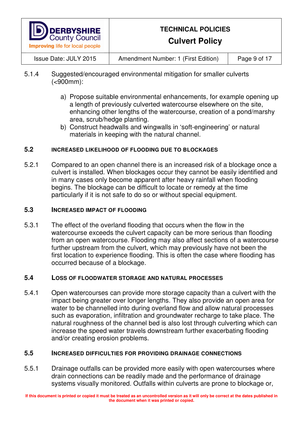

**Culvert Policy** 

Issue Date: JULY 2015 Amendment Number: 1 (First Edition) Page 9 of 17

- 5.1.4 Suggested/encouraged environmental mitigation for smaller culverts (<900mm):
	- a) Propose suitable environmental enhancements, for example opening up a length of previously culverted watercourse elsewhere on the site, enhancing other lengths of the watercourse, creation of a pond/marshy area, scrub/hedge planting.
	- b) Construct headwalls and wingwalls in 'soft-engineering' or natural materials in keeping with the natural channel.

#### **5.2 INCREASED LIKELIHOOD OF FLOODING DUE TO BLOCKAGES**

5.2.1 Compared to an open channel there is an increased risk of a blockage once a culvert is installed. When blockages occur they cannot be easily identified and in many cases only become apparent after heavy rainfall when flooding begins. The blockage can be difficult to locate or remedy at the time particularly if it is not safe to do so or without special equipment.

#### **5.3 INCREASED IMPACT OF FLOODING**

5.3.1 The effect of the overland flooding that occurs when the flow in the watercourse exceeds the culvert capacity can be more serious than flooding from an open watercourse. Flooding may also affect sections of a watercourse further upstream from the culvert, which may previously have not been the first location to experience flooding. This is often the case where flooding has occurred because of a blockage.

#### **5.4 LOSS OF FLOODWATER STORAGE AND NATURAL PROCESSES**

5.4.1 Open watercourses can provide more storage capacity than a culvert with the impact being greater over longer lengths. They also provide an open area for water to be channelled into during overland flow and allow natural processes such as evaporation, infiltration and groundwater recharge to take place. The natural roughness of the channel bed is also lost through culverting which can increase the speed water travels downstream further exacerbating flooding and/or creating erosion problems.

#### **5.5 INCREASED DIFFICULTIES FOR PROVIDING DRAINAGE CONNECTIONS**

5.5.1 Drainage outfalls can be provided more easily with open watercourses where drain connections can be readily made and the performance of drainage systems visually monitored. Outfalls within culverts are prone to blockage or,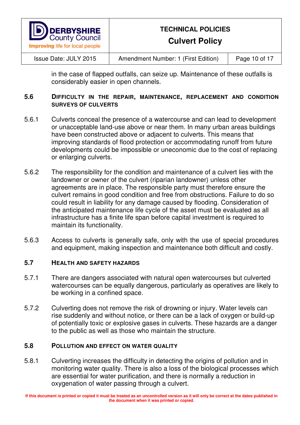

**Culvert Policy** 

Issue Date: JULY 2015 Amendment Number: 1 (First Edition) Page 10 of 17

in the case of flapped outfalls, can seize up. Maintenance of these outfalls is considerably easier in open channels.

#### **5.6 DIFFICULTY IN THE REPAIR, MAINTENANCE, REPLACEMENT AND CONDITION SURVEYS OF CULVERTS**

- 5.6.1 Culverts conceal the presence of a watercourse and can lead to development or unacceptable land-use above or near them. In many urban areas buildings have been constructed above or adjacent to culverts. This means that improving standards of flood protection or accommodating runoff from future developments could be impossible or uneconomic due to the cost of replacing or enlarging culverts.
- 5.6.2 The responsibility for the condition and maintenance of a culvert lies with the landowner or owner of the culvert (riparian landowner) unless other agreements are in place. The responsible party must therefore ensure the culvert remains in good condition and free from obstructions. Failure to do so could result in liability for any damage caused by flooding. Consideration of the anticipated maintenance life cycle of the asset must be evaluated as all infrastructure has a finite life span before capital investment is required to maintain its functionality.
- 5.6.3 Access to culverts is generally safe, only with the use of special procedures and equipment, making inspection and maintenance both difficult and costly.

#### **5.7 HEALTH AND SAFETY HAZARDS**

- 5.7.1 There are dangers associated with natural open watercourses but culverted watercourses can be equally dangerous, particularly as operatives are likely to be working in a confined space.
- 5.7.2 Culverting does not remove the risk of drowning or injury. Water levels can rise suddenly and without notice, or there can be a lack of oxygen or build-up of potentially toxic or explosive gases in culverts. These hazards are a danger to the public as well as those who maintain the structure.

#### **5.8 POLLUTION AND EFFECT ON WATER QUALITY**

5.8.1 Culverting increases the difficulty in detecting the origins of pollution and in monitoring water quality. There is also a loss of the biological processes which are essential for water purification, and there is normally a reduction in oxygenation of water passing through a culvert.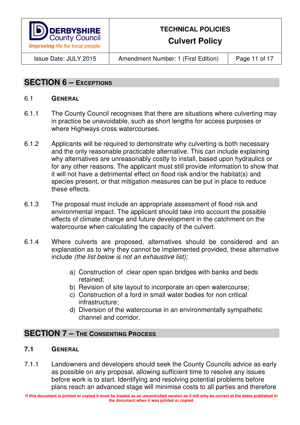

**Culvert Policy** 

Issue Date: JULY 2015 Amendment Number: 1 (First Edition) Page 11 of 17

## **SECTION 6 – EXCEPTIONS**

#### 6.1 **GENERAL**

- 6.1.1 The County Council recognises that there are situations where culverting may in practice be unavoidable, such as short lengths for access purposes or where Highways cross watercourses.
- 6.1.2 Applicants will be required to demonstrate why culverting is both necessary and the only reasonable practicable alternative. This can include explaining why alternatives are unreasonably costly to install, based upon hydraulics or for any other reasons. The applicant must still provide information to show that it will not have a detrimental effect on flood risk and/or the habitat(s) and species present, or that mitigation measures can be put in place to reduce these effects.
- 6.1.3 The proposal must include an appropriate assessment of flood risk and environmental impact. The applicant should take into account the possible effects of climate change and future development in the catchment on the watercourse when calculating the capacity of the culvert.
- 6.1.4 Where culverts are proposed, alternatives should be considered and an explanation as to why they cannot be implemented provided, these alternative include (the list below is not an exhaustive list);
	- a) Construction of clear open span bridges with banks and beds retained;
	- b) Revision of site layout to incorporate an open watercourse;
	- c) Construction of a ford in small water bodies for non critical infrastructure;
	- d) Diversion of the watercourse in an environmentally sympathetic channel and corridor.

## **SECTION 7 – THE CONSENTING PROCESS**

#### **7.1 GENERAL**

7.1.1 Landowners and developers should seek the County Councils advice as early as possible on any proposal, allowing sufficient time to resolve any issues before work is to start. Identifying and resolving potential problems before plans reach an advanced stage will minimise costs to all parties and therefore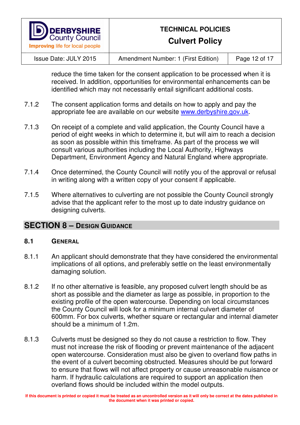

## **Culvert Policy**

Issue Date: JULY 2015 Amendment Number: 1 (First Edition) Page 12 of 17

reduce the time taken for the consent application to be processed when it is received. In addition, opportunities for environmental enhancements can be identified which may not necessarily entail significant additional costs.

- 7.1.2 The consent application forms and details on how to apply and pay the appropriate fee are available on our website www.derbyshire.gov.uk.
- 7.1.3 On receipt of a complete and valid application, the County Council have a period of eight weeks in which to determine it, but will aim to reach a decision as soon as possible within this timeframe. As part of the process we will consult various authorities including the Local Authority, Highways Department, Environment Agency and Natural England where appropriate.
- 7.1.4 Once determined, the County Council will notify you of the approval or refusal in writing along with a written copy of your consent if applicable.
- 7.1.5 Where alternatives to culverting are not possible the County Council strongly advise that the applicant refer to the most up to date industry guidance on designing culverts.

## **SECTION 8 - DESIGN GUIDANCE**

- 8.1.1 An applicant should demonstrate that they have considered the environmental implications of all options, and preferably settle on the least environmentally damaging solution.
- 8.1.2 If no other alternative is feasible, any proposed culvert length should be as short as possible and the diameter as large as possible, in proportion to the existing profile of the open watercourse. Depending on local circumstances the County Council will look for a minimum internal culvert diameter of 600mm. For box culverts, whether square or rectangular and internal diameter should be a minimum of 1.2m.
- 8.1.3 Culverts must be designed so they do not cause a restriction to flow. They must not increase the risk of flooding or prevent maintenance of the adjacent open watercourse. Consideration must also be given to overland flow paths in the event of a culvert becoming obstructed. Measures should be put forward to ensure that flows will not affect property or cause unreasonable nuisance or harm. If hydraulic calculations are required to support an application then overland flows should be included within the model outputs.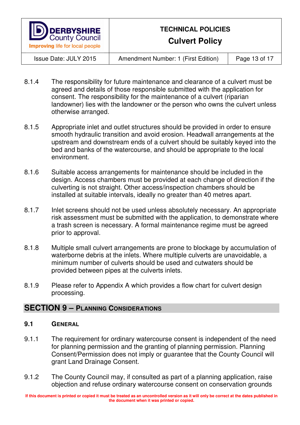

**Culvert Policy** 

Issue Date: JULY 2015 Amendment Number: 1 (First Edition) Page 13 of 17

- 8.1.4 The responsibility for future maintenance and clearance of a culvert must be agreed and details of those responsible submitted with the application for consent. The responsibility for the maintenance of a culvert (riparian landowner) lies with the landowner or the person who owns the culvert unless otherwise arranged.
- 8.1.5 Appropriate inlet and outlet structures should be provided in order to ensure smooth hydraulic transition and avoid erosion. Headwall arrangements at the upstream and downstream ends of a culvert should be suitably keyed into the bed and banks of the watercourse, and should be appropriate to the local environment.
- 8.1.6 Suitable access arrangements for maintenance should be included in the design. Access chambers must be provided at each change of direction if the culverting is not straight. Other access/inspection chambers should be installed at suitable intervals, ideally no greater than 40 metres apart.
- 8.1.7 Inlet screens should not be used unless absolutely necessary. An appropriate risk assessment must be submitted with the application, to demonstrate where a trash screen is necessary. A formal maintenance regime must be agreed prior to approval.
- 8.1.8 Multiple small culvert arrangements are prone to blockage by accumulation of waterborne debris at the inlets. Where multiple culverts are unavoidable, a minimum number of culverts should be used and cutwaters should be provided between pipes at the culverts inlets.
- 8.1.9 Please refer to Appendix A which provides a flow chart for culvert design processing.

#### **SECTION 9 – PLANNING CONSIDERATIONS**

#### **9.1 GENERAL**

- 9.1.1 The requirement for ordinary watercourse consent is independent of the need for planning permission and the granting of planning permission. Planning Consent/Permission does not imply or guarantee that the County Council will grant Land Drainage Consent.
- 9.1.2 The County Council may, if consulted as part of a planning application, raise objection and refuse ordinary watercourse consent on conservation grounds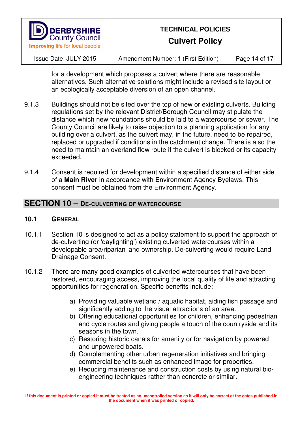

**Culvert Policy** 

Issue Date: JULY 2015 Amendment Number: 1 (First Edition) Page 14 of 17

for a development which proposes a culvert where there are reasonable alternatives. Such alternative solutions might include a revised site layout or an ecologically acceptable diversion of an open channel.

- 9.1.3 Buildings should not be sited over the top of new or existing culverts. Building regulations set by the relevant District/Borough Council may stipulate the distance which new foundations should be laid to a watercourse or sewer. The County Council are likely to raise objection to a planning application for any building over a culvert, as the culvert may, in the future, need to be repaired, replaced or upgraded if conditions in the catchment change. There is also the need to maintain an overland flow route if the culvert is blocked or its capacity exceeded.
- 9.1.4 Consent is required for development within a specified distance of either side of a **Main River** in accordance with Environment Agency Byelaws. This consent must be obtained from the Environment Agency.

#### **SECTION 10 – DE-CULVERTING OF WATERCOURSE**

- 10.1.1 Section 10 is designed to act as a policy statement to support the approach of de-culverting (or 'daylighting') existing culverted watercourses within a developable area/riparian land ownership. De-culverting would require Land Drainage Consent.
- 10.1.2 There are many good examples of culverted watercourses that have been restored, encouraging access, improving the local quality of life and attracting opportunities for regeneration. Specific benefits include:
	- a) Providing valuable wetland / aquatic habitat, aiding fish passage and significantly adding to the visual attractions of an area.
	- b) Offering educational opportunities for children, enhancing pedestrian and cycle routes and giving people a touch of the countryside and its seasons in the town.
	- c) Restoring historic canals for amenity or for navigation by powered and unpowered boats.
	- d) Complementing other urban regeneration initiatives and bringing commercial benefits such as enhanced image for properties.
	- e) Reducing maintenance and construction costs by using natural bioengineering techniques rather than concrete or similar.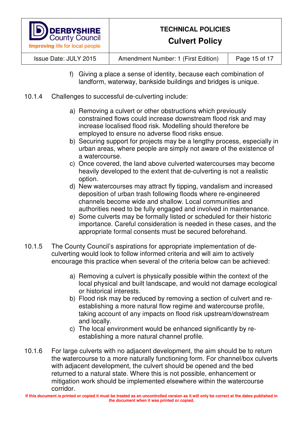

**Culvert Policy** 

Issue Date: JULY 2015 Amendment Number: 1 (First Edition) Page 15 of 17

- f) Giving a place a sense of identity, because each combination of landform, waterway, bankside buildings and bridges is unique.
- 10.1.4 Challenges to successful de-culverting include:
	- a) Removing a culvert or other obstructions which previously constrained flows could increase downstream flood risk and may increase localised flood risk. Modelling should therefore be employed to ensure no adverse flood risks ensue.
	- b) Securing support for projects may be a lengthy process, especially in urban areas, where people are simply not aware of the existence of a watercourse.
	- c) Once covered, the land above culverted watercourses may become heavily developed to the extent that de-culverting is not a realistic option.
	- d) New watercourses may attract fly tipping, vandalism and increased deposition of urban trash following floods where re-engineered channels become wide and shallow. Local communities and authorities need to be fully engaged and involved in maintenance.
	- e) Some culverts may be formally listed or scheduled for their historic importance. Careful consideration is needed in these cases, and the appropriate formal consents must be secured beforehand.
- 10.1.5 The County Council's aspirations for appropriate implementation of deculverting would look to follow informed criteria and will aim to actively encourage this practice when several of the criteria below can be achieved:
	- a) Removing a culvert is physically possible within the context of the local physical and built landscape, and would not damage ecological or historical interests.
	- b) Flood risk may be reduced by removing a section of culvert and reestablishing a more natural flow regime and watercourse profile, taking account of any impacts on flood risk upstream/downstream and locally.
	- c) The local environment would be enhanced significantly by reestablishing a more natural channel profile.
- 10.1.6 For large culverts with no adjacent development, the aim should be to return the watercourse to a more naturally functioning form. For channel/box culverts with adjacent development, the culvert should be opened and the bed returned to a natural state. Where this is not possible, enhancement or mitigation work should be implemented elsewhere within the watercourse corridor.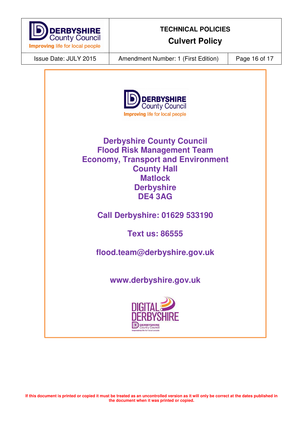

**Culvert Policy** 

Issue Date: JULY 2015 Amendment Number: 1 (First Edition) Page 16 of 17



**Derbyshire County Council Flood Risk Management Team Economy, Transport and Environment County Hall Matlock Derbyshire DE4 3AG** 

**Call Derbyshire: 01629 533190** 

**Text us: 86555** 

**flood.team@derbyshire.gov.uk** 

**www.derbyshire.gov.uk**